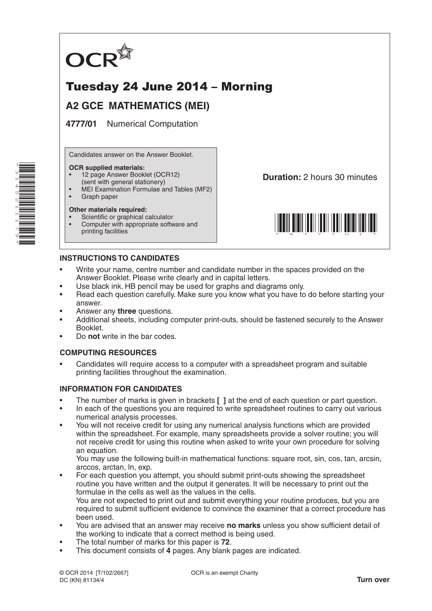

# Tuesday 24 June 2014 – Morning

## **A2 GCE MATHEMATICS (MEI)**

**4777/01** Numerical Computation

Candidates answer on the Answer Booklet.

#### **OCR supplied materials:**

- 12 page Answer Booklet (OCR12)
- (sent with general stationery)
- MEI Examination Formulae and Tables (MF2)
- Graph paper

#### **Other materials required:**

- Scientific or graphical calculator
- Computer with appropriate software and printing facilities

**Duration:** 2 hours 30 minutes



### **INSTRUCTIONS TO CANDIDATES**

- Write your name, centre number and candidate number in the spaces provided on the Answer Booklet. Please write clearly and in capital letters.
- Use black ink. HB pencil may be used for graphs and diagrams only.
- Read each question carefully. Make sure you know what you have to do before starting your answer.
- Answer any **three** questions.
- Additional sheets, including computer print-outs, should be fastened securely to the Answer Booklet.
- Do **not** write in the bar codes.

### **COMPUTING RESOURCES**

• Candidates will require access to a computer with a spreadsheet program and suitable printing facilities throughout the examination.

### **INFORMATION FOR CANDIDATES**

- The number of marks is given in brackets **[ ]** at the end of each question or part question.
- In each of the questions you are required to write spreadsheet routines to carry out various numerical analysis processes.
- You will not receive credit for using any numerical analysis functions which are provided within the spreadsheet. For example, many spreadsheets provide a solver routine; you will not receive credit for using this routine when asked to write your own procedure for solving an equation.

 You may use the following built-in mathematical functions: square root, sin, cos, tan, arcsin, arccos, arctan, ln, exp.

• For each question you attempt, you should submit print-outs showing the spreadsheet routine you have written and the output it generates. It will be necessary to print out the formulae in the cells as well as the values in the cells.

 You are not expected to print out and submit everything your routine produces, but you are required to submit sufficient evidence to convince the examiner that a correct procedure has been used.

- You are advised that an answer may receive **no marks** unless you show sufficient detail of the working to indicate that a correct method is being used.
- The total number of marks for this paper is **72**.
- This document consists of **4** pages. Any blank pages are indicated.

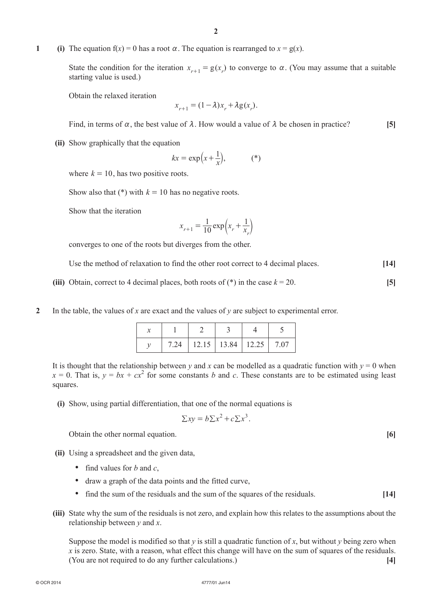**1** (i) The equation  $f(x) = 0$  has a root  $\alpha$ . The equation is rearranged to  $x = g(x)$ .

State the condition for the iteration  $x_{r+1} = g(x_r)$  to converge to  $\alpha$ . (You may assume that a suitable starting value is used.)

**Obtain the relaxed iteration** 

$$
x_{r+1} = (1 - \lambda)x_r + \lambda g(x_r).
$$

Find, in terms of  $\alpha$ , the best value of  $\lambda$ . How would a value of  $\lambda$  be chosen in practice? **[5]** 

**(ii)** Show graphically that the equation

$$
kx = \exp\left(x + \frac{1}{x}\right),\tag{*}
$$

where  $k = 10$ , has two positive roots.

Show also that  $(*)$  with  $k = 10$  has no negative roots.

**Show that the iteration** 

$$
x_{r+1} = \frac{1}{10} \exp\left(x_r + \frac{1}{x_r}\right)
$$

 converges to one of the roots but diverges from the other.

Use the method of relaxation to find the other root correct to 4 decimal places. **[14]** 

- **(iii)** Obtain, correct to 4 decimal places, both roots of  $(*)$  in the case  $k = 20$ . [5]
- **2**  In the table, the values of *x* are exact and the values of *y* are subject to experimental error.

|  | $7.24$   12.15   13.84   12.25   7.07 |  |
|--|---------------------------------------|--|

It is thought that the relationship between *y* and *x* can be modelled as a quadratic function with  $y = 0$  when  $x = 0$ . That is,  $y = bx + cx^2$  for some constants *b* and *c*. These constants are to be estimated using least squares.

**(i)** Show, using partial differentiation, that one of the normal equations is

$$
\sum xy = b \sum x^2 + c \sum x^3.
$$

Obtain the other normal equation. **[6]** 

- **(ii)** Using a spreadsheet and the given data,
	- find values for *b* and *c*,
	- draw a graph of the data points and the fitted curve,
	- find the sum of the residuals and the sum of the squares of the residuals. **[14]**
- **(iii)** State why the sum of the residuals is not zero, and explain how this relates to the assumptions about the relationship between *y* and *x*.

Suppose the model is modified so that  $y$  is still a quadratic function of  $x$ , but without  $y$  being zero when *x* is zero. State, with a reason, what effect this change will have on the sum of squares of the residuals. (You are not required to do any further calculations.) **[4]**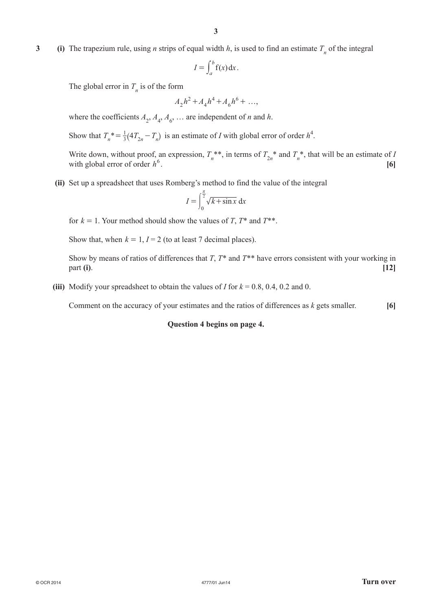**3** (i) The trapezium rule, using *n* strips of equal width *h*, is used to find an estimate  $T_n$  of the integral

$$
I = \int_a^b f(x) \, dx
$$

The global error in  $T<sub>n</sub>$  is of the form

$$
A_2 h^2 + A_4 h^4 + A_6 h^6 + \dots,
$$

where the coefficients  $A_2$ ,  $A_4$ ,  $A_6$ , ... are independent of *n* and *h*.

Show that  $T_n^* = \frac{1}{3} (4T_{2n} - T_n)$  is an estimate of *I* with global error of order  $h^4$ .

Write down, without proof, an expression,  $T_n^{**}$ , in terms of  $T_{2n}^{*}$  and  $T_n^{*}$ , that will be an estimate of *I* with global error of order  $h^6$ .  $[6]$ 

(ii) Set up a spreadsheet that uses Romberg's method to find the value of the integral

$$
I = \int_0^{\frac{\pi}{2}} \sqrt{k + \sin x} \, dx
$$

for  $k = 1$ . Your method should show the values of *T*,  $T^*$  and  $T^{**}$ .

Show that, when  $k = 1$ ,  $I = 2$  (to at least 7 decimal places).

Show by means of ratios of differences that *T*,  $T^*$  and  $T^{**}$  have errors consistent with your working in part **(i)**. **[12]**

**(iii)** Modify your spreadsheet to obtain the values of *I* for  $k = 0.8, 0.4, 0.2$  and 0.

Comment on the accuracy of your estimates and the ratios of differences as  $k$  gets smaller.  $[6]$ 

#### **Question 4 begins on page 4.**